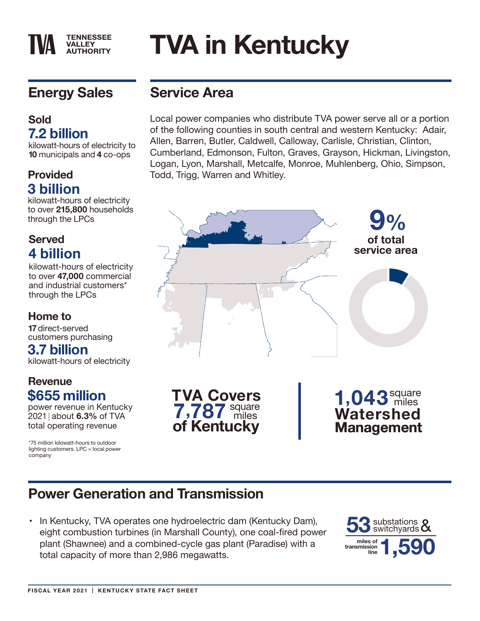#### **TENNESSEE VALLEY AUTHORITY**

# **TVA in Kentucky**

# **Energy Sales**

#### **Sold 7.2 billion**

kilowatt-hours of electricity to **10** municipals and **4** co-ops

# **3 billion**

kilowatt-hours of electricity to over **215,800** households through the LPCs

#### **Served 4 billion**

kilowatt-hours of electricity to over **47,000** commercial and industrial customers\* through the LPCs

#### **Home to**

**17** direct-served customers purchasing

### **3.7 billion**

kilowatt-hours of electricity

#### **Revenue \$655 million**

power revenue in Kentucky 2021 about **6.3%** of TVA total operating revenue

\*75 million kilowatt-hours to outdoor lighting customers. LPC = local power company

# **Service Area**

Local power companies who distribute TVA power serve all or a portion of the following counties in south central and western Kentucky: Adair, Allen, Barren, Butler, Caldwell, Calloway, Carlisle, Christian, Clinton, Cumberland, Edmonson, Fulton, Graves, Grayson, Hickman, Livingston, Logan, Lyon, Marshall, Metcalfe, Monroe, Muhlenberg, Ohio, Simpson, **Provided** Todd, Trigg, Warren and Whitley.



# **Power Generation and Transmission**

• In Kentucky, TVA operates one hydroelectric dam (Kentucky Dam), eight combustion turbines (in Marshall County), one coal-fired power plant (Shawnee) and a combined-cycle gas plant (Paradise) with a total capacity of more than 2,986 megawatts.

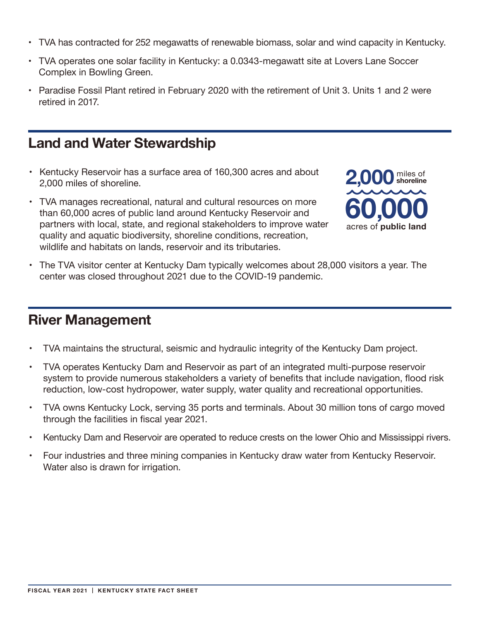- TVA has contracted for 252 megawatts of renewable biomass, solar and wind capacity in Kentucky.
- TVA operates one solar facility in Kentucky: a 0.0343-megawatt site at Lovers Lane Soccer Complex in Bowling Green.
- Paradise Fossil Plant retired in February 2020 with the retirement of Unit 3. Units 1 and 2 were retired in 2017.

#### **Land and Water Stewardship**

- Kentucky Reservoir has a surface area of 160,300 acres and about 2,000 miles of shoreline.
- TVA manages recreational, natural and cultural resources on more than 60,000 acres of public land around Kentucky Reservoir and partners with local, state, and regional stakeholders to improve water quality and aquatic biodiversity, shoreline conditions, recreation, wildlife and habitats on lands, reservoir and its tributaries.



• The TVA visitor center at Kentucky Dam typically welcomes about 28,000 visitors a year. The center was closed throughout 2021 due to the COVID-19 pandemic.

#### **River Management**

- TVA maintains the structural, seismic and hydraulic integrity of the Kentucky Dam project.
- TVA operates Kentucky Dam and Reservoir as part of an integrated multi-purpose reservoir system to provide numerous stakeholders a variety of benefits that include navigation, flood risk reduction, low-cost hydropower, water supply, water quality and recreational opportunities.
- TVA owns Kentucky Lock, serving 35 ports and terminals. About 30 million tons of cargo moved through the facilities in fiscal year 2021.
- Kentucky Dam and Reservoir are operated to reduce crests on the lower Ohio and Mississippi rivers.
- Four industries and three mining companies in Kentucky draw water from Kentucky Reservoir. Water also is drawn for irrigation.